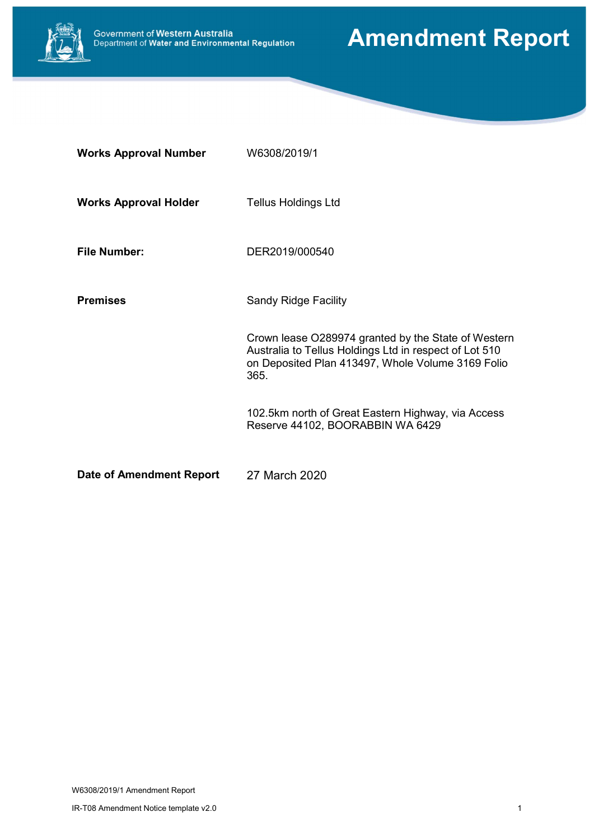

# Amendment Report

| <b>Works Approval Number</b> | W6308/2019/1                                                                                                                                                               |
|------------------------------|----------------------------------------------------------------------------------------------------------------------------------------------------------------------------|
| <b>Works Approval Holder</b> | <b>Tellus Holdings Ltd</b>                                                                                                                                                 |
| <b>File Number:</b>          | DER2019/000540                                                                                                                                                             |
| <b>Premises</b>              | <b>Sandy Ridge Facility</b>                                                                                                                                                |
|                              | Crown lease O289974 granted by the State of Western<br>Australia to Tellus Holdings Ltd in respect of Lot 510<br>on Deposited Plan 413497, Whole Volume 3169 Folio<br>365. |
|                              | 102.5km north of Great Eastern Highway, via Access<br>Reserve 44102, BOORABBIN WA 6429                                                                                     |
| Date of Amendment Report     | 27 March 2020                                                                                                                                                              |

W6308/2019/1 Amendment Report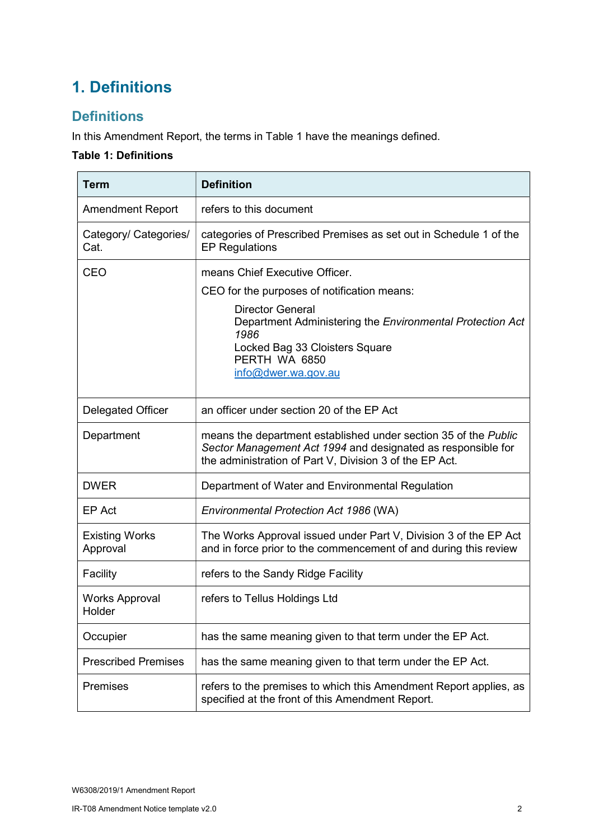# 1. Definitions

#### **Definitions**

In this Amendment Report, the terms in Table 1 have the meanings defined.

#### Table 1: Definitions

| <b>Term</b>                       | <b>Definition</b>                                                                                                                                                                          |  |  |
|-----------------------------------|--------------------------------------------------------------------------------------------------------------------------------------------------------------------------------------------|--|--|
| <b>Amendment Report</b>           | refers to this document                                                                                                                                                                    |  |  |
| Category/ Categories/<br>Cat.     | categories of Prescribed Premises as set out in Schedule 1 of the<br><b>EP Regulations</b>                                                                                                 |  |  |
| <b>CEO</b>                        | means Chief Executive Officer.                                                                                                                                                             |  |  |
|                                   | CEO for the purposes of notification means:                                                                                                                                                |  |  |
|                                   | <b>Director General</b><br>Department Administering the Environmental Protection Act<br>1986<br>Locked Bag 33 Cloisters Square<br>PERTH WA 6850                                            |  |  |
|                                   | info@dwer.wa.gov.au                                                                                                                                                                        |  |  |
| <b>Delegated Officer</b>          | an officer under section 20 of the EP Act                                                                                                                                                  |  |  |
| Department                        | means the department established under section 35 of the Public<br>Sector Management Act 1994 and designated as responsible for<br>the administration of Part V, Division 3 of the EP Act. |  |  |
| <b>DWER</b>                       | Department of Water and Environmental Regulation                                                                                                                                           |  |  |
| EP Act                            | Environmental Protection Act 1986 (WA)                                                                                                                                                     |  |  |
| <b>Existing Works</b><br>Approval | The Works Approval issued under Part V, Division 3 of the EP Act<br>and in force prior to the commencement of and during this review                                                       |  |  |
| Facility                          | refers to the Sandy Ridge Facility                                                                                                                                                         |  |  |
| <b>Works Approval</b><br>Holder   | refers to Tellus Holdings Ltd                                                                                                                                                              |  |  |
| Occupier                          | has the same meaning given to that term under the EP Act.                                                                                                                                  |  |  |
| <b>Prescribed Premises</b>        | has the same meaning given to that term under the EP Act.                                                                                                                                  |  |  |
| Premises                          | refers to the premises to which this Amendment Report applies, as<br>specified at the front of this Amendment Report.                                                                      |  |  |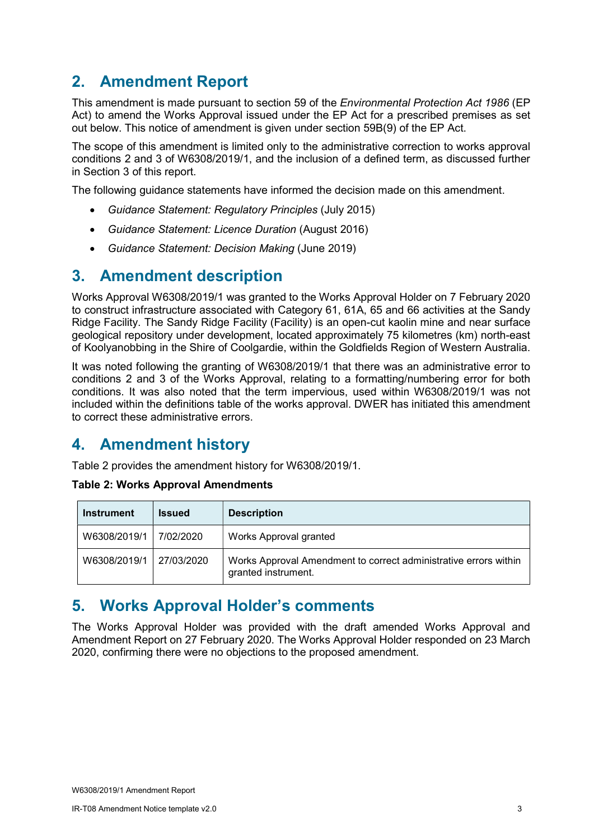# 2. Amendment Report

This amendment is made pursuant to section 59 of the *Environmental Protection Act 1986* (EP Act) to amend the Works Approval issued under the EP Act for a prescribed premises as set out below. This notice of amendment is given under section 59B(9) of the EP Act.

The scope of this amendment is limited only to the administrative correction to works approval conditions 2 and 3 of W6308/2019/1, and the inclusion of a defined term, as discussed further in Section 3 of this report.

The following guidance statements have informed the decision made on this amendment.

- Guidance Statement: Regulatory Principles (July 2015)
- Guidance Statement: Licence Duration (August 2016)
- Guidance Statement: Decision Making (June 2019)

### 3. Amendment description

Works Approval W6308/2019/1 was granted to the Works Approval Holder on 7 February 2020 to construct infrastructure associated with Category 61, 61A, 65 and 66 activities at the Sandy Ridge Facility. The Sandy Ridge Facility (Facility) is an open-cut kaolin mine and near surface geological repository under development, located approximately 75 kilometres (km) north-east of Koolyanobbing in the Shire of Coolgardie, within the Goldfields Region of Western Australia.

It was noted following the granting of W6308/2019/1 that there was an administrative error to conditions 2 and 3 of the Works Approval, relating to a formatting/numbering error for both conditions. It was also noted that the term impervious, used within W6308/2019/1 was not included within the definitions table of the works approval. DWER has initiated this amendment to correct these administrative errors.

# 4. Amendment history

Table 2 provides the amendment history for W6308/2019/1.

#### Table 2: Works Approval Amendments

| <b>Instrument</b> | <b>Issued</b> | <b>Description</b>                                                                      |  |
|-------------------|---------------|-----------------------------------------------------------------------------------------|--|
| W6308/2019/1      | 7/02/2020     | Works Approval granted                                                                  |  |
| W6308/2019/1      | 27/03/2020    | Works Approval Amendment to correct administrative errors within<br>granted instrument. |  |

### 5. Works Approval Holder's comments

The Works Approval Holder was provided with the draft amended Works Approval and Amendment Report on 27 February 2020. The Works Approval Holder responded on 23 March 2020, confirming there were no objections to the proposed amendment.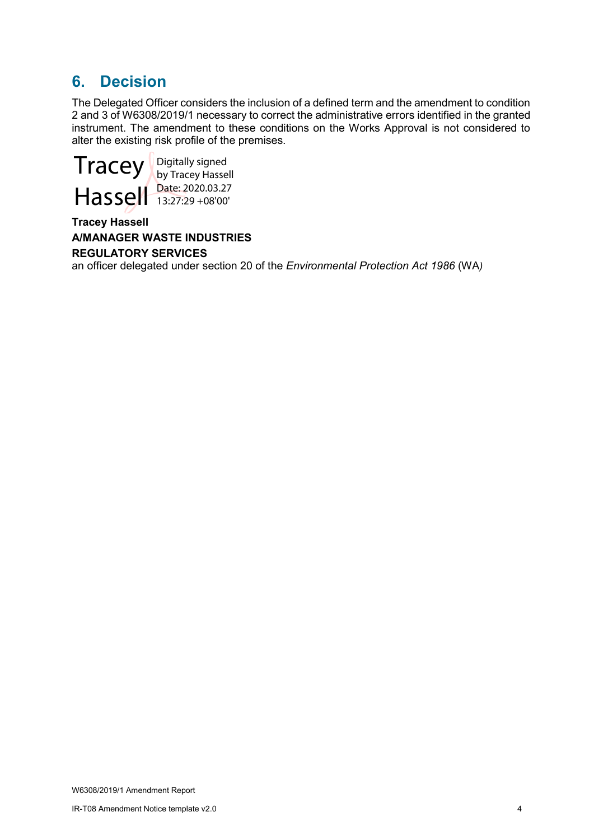## 6. Decision

The Delegated Officer considers the inclusion of a defined term and the amendment to condition 2 and 3 of W6308/2019/1 necessary to correct the administrative errors identified in the granted instrument. The amendment to these conditions on the Works Approval is not considered to alter the existing risk profile of the premises.



Digitally signed by Tracey Hassell Date: 2020.03.27 13:27:29 +08'00'

#### Tracey Hassell A/MANAGER WASTE INDUSTRIES REGULATORY SERVICES

an officer delegated under section 20 of the Environmental Protection Act 1986 (WA)